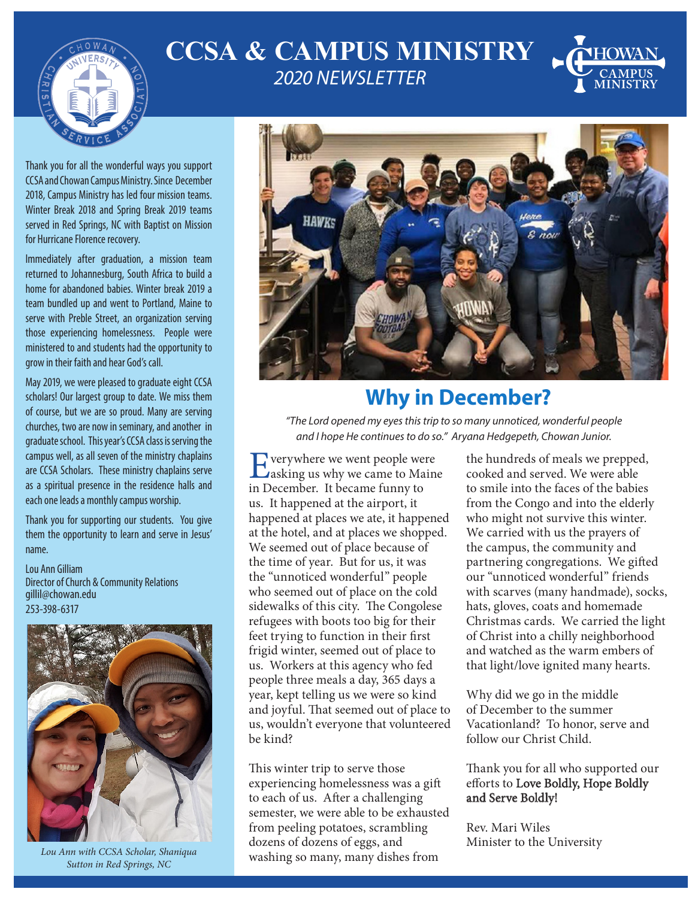

## **CCSA & CAMPUS MINISTRY** *2020 NEWSLETTER*



Thank you for all the wonderful ways you support CCSA and Chowan Campus Ministry. Since December 2018, Campus Ministry has led four mission teams. Winter Break 2018 and Spring Break 2019 teams served in Red Springs, NC with Baptist on Mission for Hurricane Florence recovery.

Immediately after graduation, a mission team returned to Johannesburg, South Africa to build a home for abandoned babies. Winter break 2019 a team bundled up and went to Portland, Maine to serve with Preble Street, an organization serving those experiencing homelessness. People were ministered to and students had the opportunity to grow in their faith and hear God's call.

May 2019, we were pleased to graduate eight CCSA scholars! Our largest group to date. We miss them of course, but we are so proud. Many are serving churches, two are now in seminary, and another in graduate school. This year's CCSA class is serving the campus well, as all seven of the ministry chaplains are CCSA Scholars. These ministry chaplains serve as a spiritual presence in the residence halls and each one leads a monthly campus worship.

Thank you for supporting our students. You give them the opportunity to learn and serve in Jesus' name.

Lou Ann Gilliam Director of Church & Community Relations gillil@chowan.edu 253-398-6317



*Lou Ann with CCSA Scholar, Shaniqua Sutton in Red Springs, NC*



## **Why in December?**

*"The Lord opened my eyes this trip to so many unnoticed, wonderful people and I hope He continues to do so." Aryana Hedgepeth, Chowan Junior.*

Everywhere we went people were<br>
asking us why we came to Maine<br>
in December, It became frances in December. It became funny to us. It happened at the airport, it happened at places we ate, it happened at the hotel, and at places we shopped. We seemed out of place because of the time of year. But for us, it was the "unnoticed wonderful" people who seemed out of place on the cold sidewalks of this city. The Congolese refugees with boots too big for their feet trying to function in their first frigid winter, seemed out of place to us. Workers at this agency who fed people three meals a day, 365 days a year, kept telling us we were so kind and joyful. That seemed out of place to us, wouldn't everyone that volunteered be kind?

This winter trip to serve those experiencing homelessness was a gift to each of us. After a challenging semester, we were able to be exhausted from peeling potatoes, scrambling dozens of dozens of eggs, and washing so many, many dishes from

the hundreds of meals we prepped, cooked and served. We were able to smile into the faces of the babies from the Congo and into the elderly who might not survive this winter. We carried with us the prayers of the campus, the community and partnering congregations. We gifted our "unnoticed wonderful" friends with scarves (many handmade), socks, hats, gloves, coats and homemade Christmas cards. We carried the light of Christ into a chilly neighborhood and watched as the warm embers of that light/love ignited many hearts.

Why did we go in the middle of December to the summer Vacationland? To honor, serve and follow our Christ Child.

#### Thank you for all who supported our efforts to Love Boldly, Hope Boldly and Serve Boldly!

Rev. Mari Wiles Minister to the University